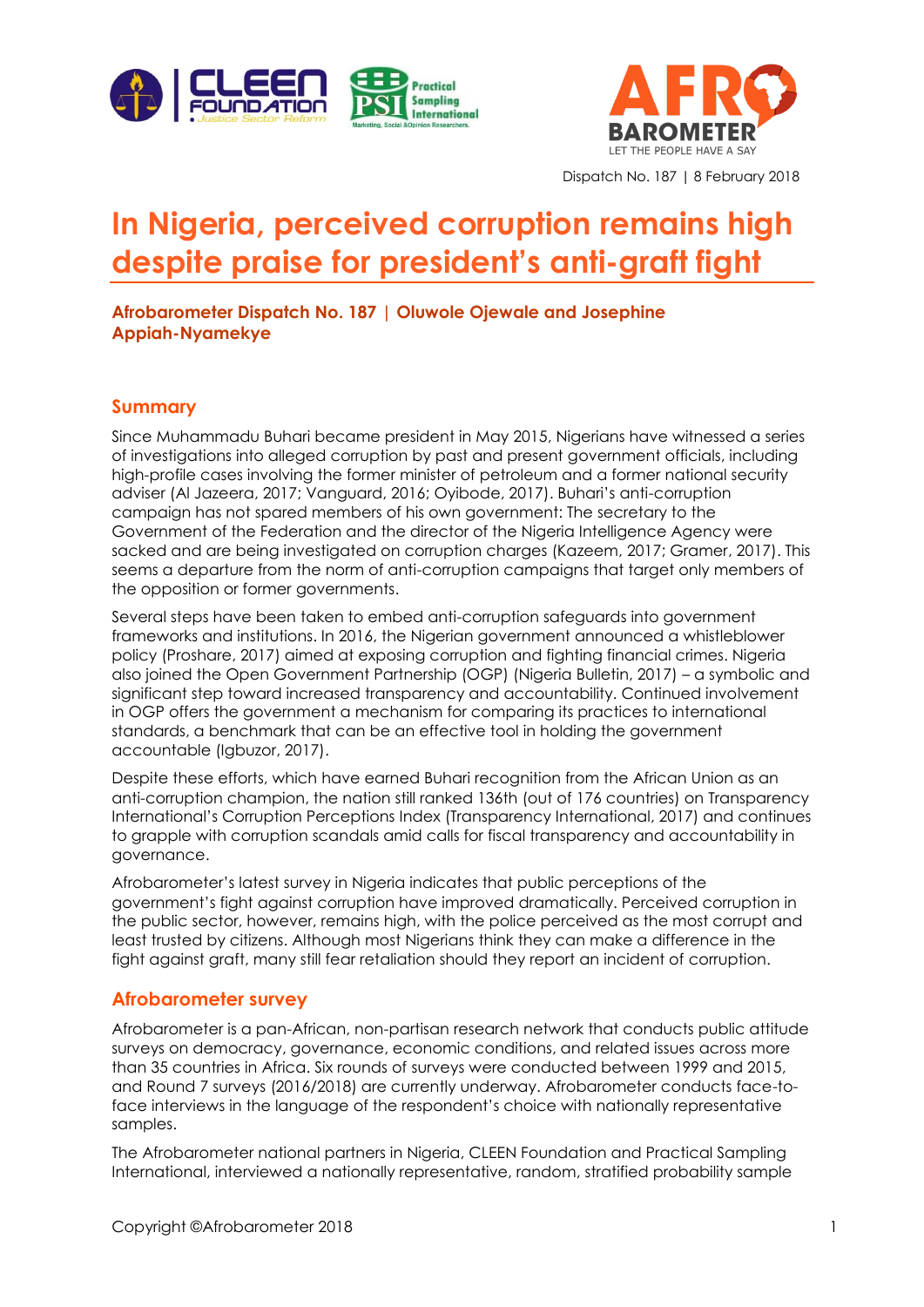



Dispatch No. 187 | 8 February 2018

# **In Nigeria, perceived corruption remains high despite praise for president's anti-graft fight**

**Afrobarometer Dispatch No. 187 | Oluwole Ojewale and Josephine Appiah-Nyamekye**

#### **Summary**

Since Muhammadu Buhari became president in May 2015, Nigerians have witnessed a series of investigations into alleged corruption by past and present government officials, including high-profile cases involving the former minister of petroleum and a former national security adviser (Al Jazeera, 2017; Vanguard, 2016; Oyibode, 2017). Buhari's anti-corruption campaign has not spared members of his own government: The secretary to the Government of the Federation and the director of the Nigeria Intelligence Agency were sacked and are being investigated on corruption charges (Kazeem, 2017; Gramer, 2017). This seems a departure from the norm of anti-corruption campaigns that target only members of the opposition or former governments.

Several steps have been taken to embed anti-corruption safeguards into government frameworks and institutions. In 2016, the Nigerian government announced a whistleblower policy (Proshare, 2017) aimed at exposing corruption and fighting financial crimes. Nigeria also joined the Open Government Partnership (OGP) (Nigeria Bulletin, 2017) – a symbolic and significant step toward increased transparency and accountability. Continued involvement in OGP offers the government a mechanism for comparing its practices to international standards, a benchmark that can be an effective tool in holding the government accountable (Igbuzor, 2017).

Despite these efforts, which have earned Buhari recognition from the African Union as an anti-corruption champion, the nation still ranked 136th (out of 176 countries) on Transparency International's Corruption Perceptions Index (Transparency International, 2017) and continues to grapple with corruption scandals amid calls for fiscal transparency and accountability in governance.

Afrobarometer's latest survey in Nigeria indicates that public perceptions of the government's fight against corruption have improved dramatically. Perceived corruption in the public sector, however, remains high, with the police perceived as the most corrupt and least trusted by citizens. Although most Nigerians think they can make a difference in the fight against graft, many still fear retaliation should they report an incident of corruption.

#### **Afrobarometer survey**

Afrobarometer is a pan-African, non-partisan research network that conducts public attitude surveys on democracy, governance, economic conditions, and related issues across more than 35 countries in Africa. Six rounds of surveys were conducted between 1999 and 2015, and Round 7 surveys (2016/2018) are currently underway. Afrobarometer conducts face-toface interviews in the language of the respondent's choice with nationally representative samples.

The Afrobarometer national partners in Nigeria, CLEEN Foundation and Practical Sampling International, interviewed a nationally representative, random, stratified probability sample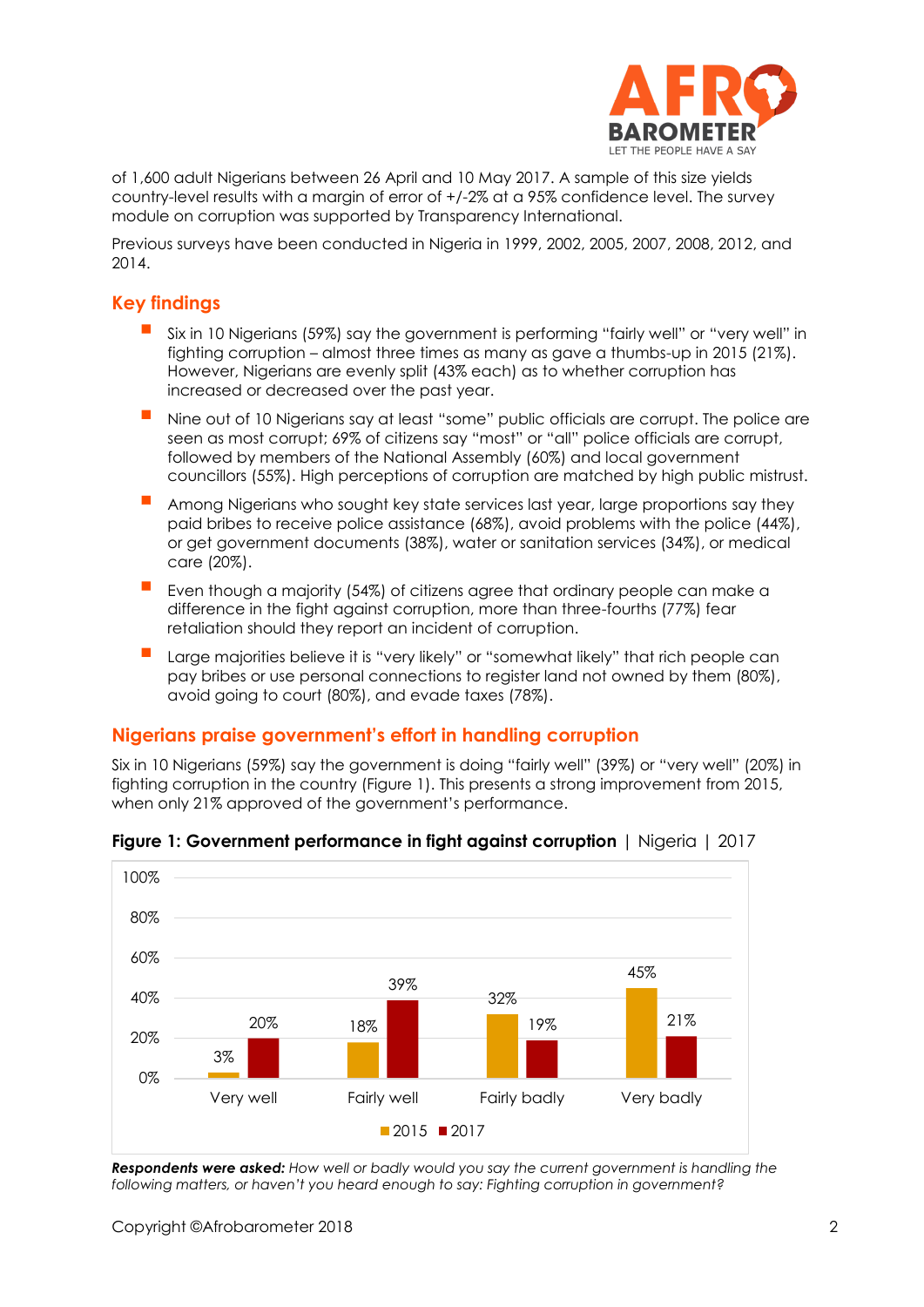

of 1,600 adult Nigerians between 26 April and 10 May 2017. A sample of this size yields country-level results with a margin of error of +/-2% at a 95% confidence level. The survey module on corruption was supported by Transparency International.

Previous surveys have been conducted in Nigeria in 1999, 2002, 2005, 2007, 2008, 2012, and 2014.

# **Key findings**

- Six in 10 Nigerians (59%) say the government is performing "fairly well" or "very well" in fighting corruption – almost three times as many as gave a thumbs-up in 2015 (21%). However, Nigerians are evenly split (43% each) as to whether corruption has increased or decreased over the past year.
- Nine out of 10 Nigerians say at least "some" public officials are corrupt. The police are seen as most corrupt; 69% of citizens say "most" or "all" police officials are corrupt, followed by members of the National Assembly (60%) and local government councillors (55%). High perceptions of corruption are matched by high public mistrust.
- Among Nigerians who sought key state services last year, large proportions say they paid bribes to receive police assistance (68%), avoid problems with the police (44%), or get government documents (38%), water or sanitation services (34%), or medical care (20%).
- Even though a majority (54%) of citizens agree that ordinary people can make a difference in the fight against corruption, more than three-fourths (77%) fear retaliation should they report an incident of corruption.
- Large majorities believe it is "very likely" or "somewhat likely" that rich people can pay bribes or use personal connections to register land not owned by them (80%), avoid going to court (80%), and evade taxes (78%).

#### **Nigerians praise government's effort in handling corruption**

Six in 10 Nigerians (59%) say the government is doing "fairly well" (39%) or "very well" (20%) in fighting corruption in the country (Figure 1). This presents a strong improvement from 2015, when only 21% approved of the government's performance.



**Figure 1: Government performance in fight against corruption** | Nigeria | 2017

*Respondents were asked: How well or badly would you say the current government is handling the following matters, or haven't you heard enough to say: Fighting corruption in government?*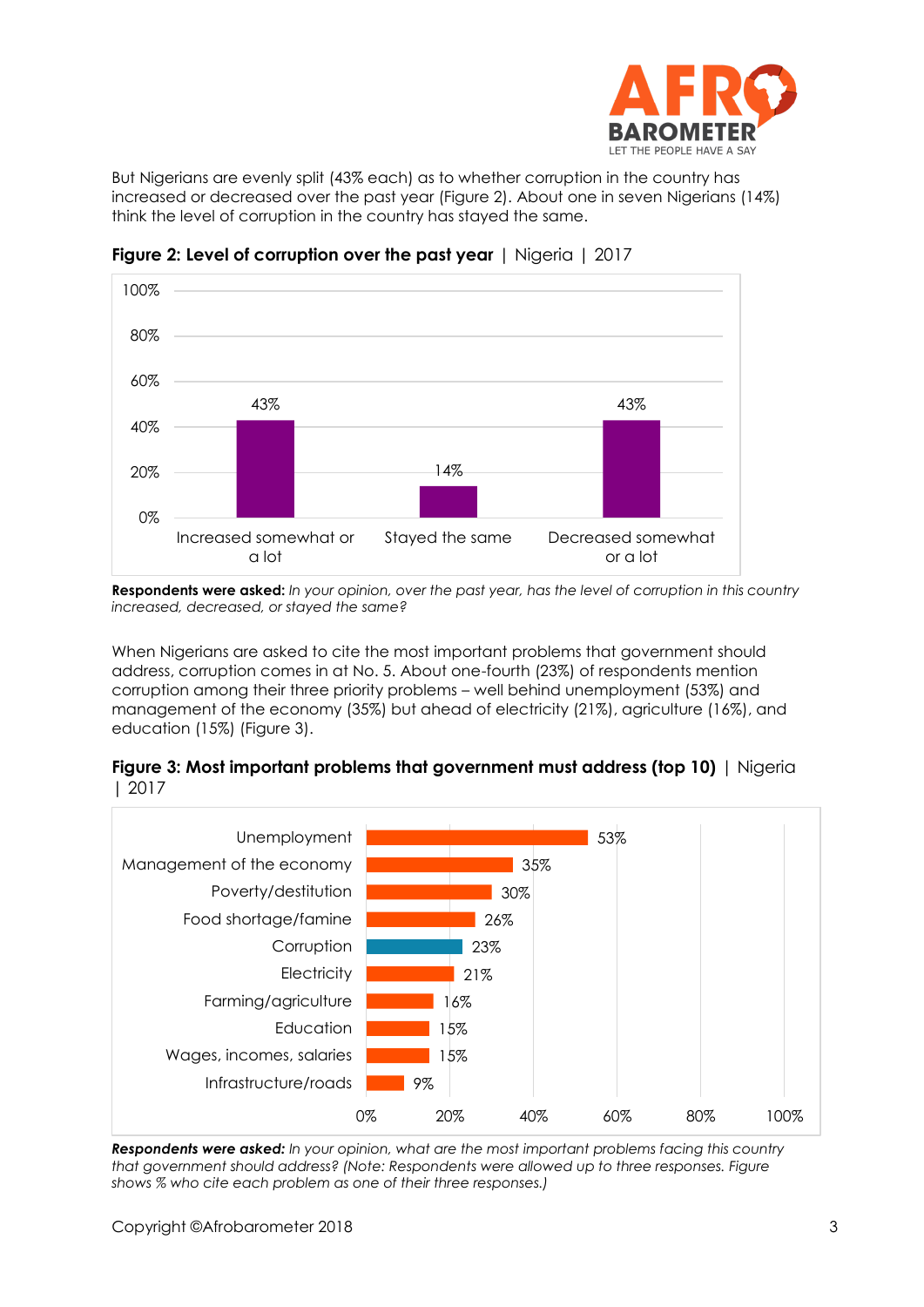

But Nigerians are evenly split (43% each) as to whether corruption in the country has increased or decreased over the past year (Figure 2). About one in seven Nigerians (14%) think the level of corruption in the country has stayed the same.



**Figure 2: Level of corruption over the past year** | Nigeria | 2017

**Respondents were asked:** *In your opinion, over the past year, has the level of corruption in this country increased, decreased, or stayed the same?*

When Nigerians are asked to cite the most important problems that government should address, corruption comes in at No. 5. About one-fourth (23%) of respondents mention corruption among their three priority problems – well behind unemployment (53%) and management of the economy (35%) but ahead of electricity (21%), agriculture (16%), and education (15%) (Figure 3).





*Respondents were asked: In your opinion, what are the most important problems facing this country that government should address? (Note: Respondents were allowed up to three responses. Figure shows % who cite each problem as one of their three responses.)*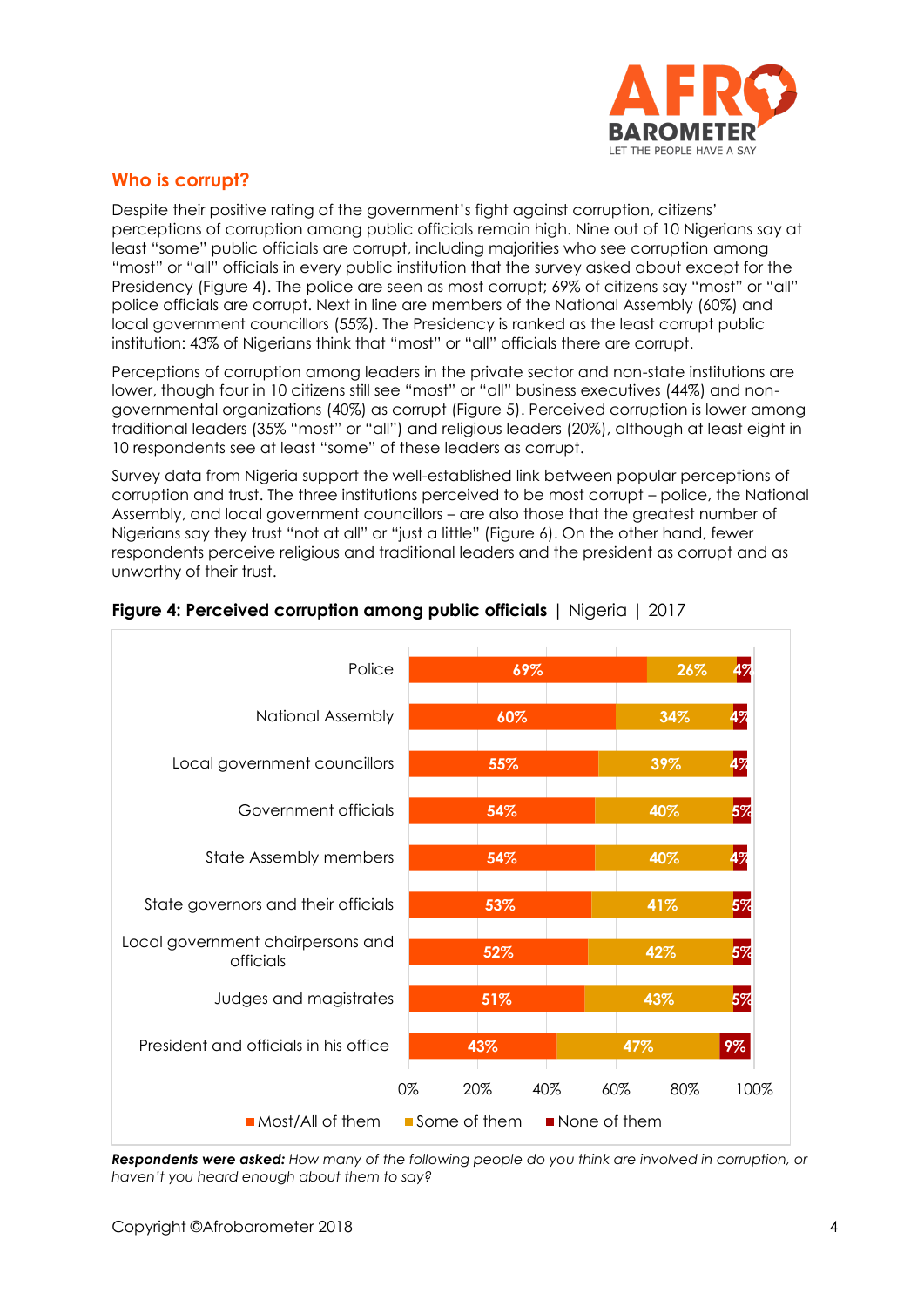

# **Who is corrupt?**

Despite their positive rating of the government's fight against corruption, citizens' perceptions of corruption among public officials remain high. Nine out of 10 Nigerians say at least "some" public officials are corrupt, including majorities who see corruption among "most" or "all" officials in every public institution that the survey asked about except for the Presidency (Figure 4). The police are seen as most corrupt; 69% of citizens say "most" or "all" police officials are corrupt. Next in line are members of the National Assembly (60%) and local government councillors (55%). The Presidency is ranked as the least corrupt public institution: 43% of Nigerians think that "most" or "all" officials there are corrupt.

Perceptions of corruption among leaders in the private sector and non-state institutions are lower, though four in 10 citizens still see "most" or "all" business executives (44%) and nongovernmental organizations (40%) as corrupt (Figure 5). Perceived corruption is lower among traditional leaders (35% "most" or "all") and religious leaders (20%), although at least eight in 10 respondents see at least "some" of these leaders as corrupt.

Survey data from Nigeria support the well-established link between popular perceptions of corruption and trust. The three institutions perceived to be most corrupt – police, the National Assembly, and local government councillors – are also those that the greatest number of Nigerians say they trust "not at all" or "just a little" (Figure 6). On the other hand, fewer respondents perceive religious and traditional leaders and the president as corrupt and as unworthy of their trust.



#### **Figure 4: Perceived corruption among public officials** | Nigeria | 2017

*Respondents were asked: How many of the following people do you think are involved in corruption, or haven't you heard enough about them to say?*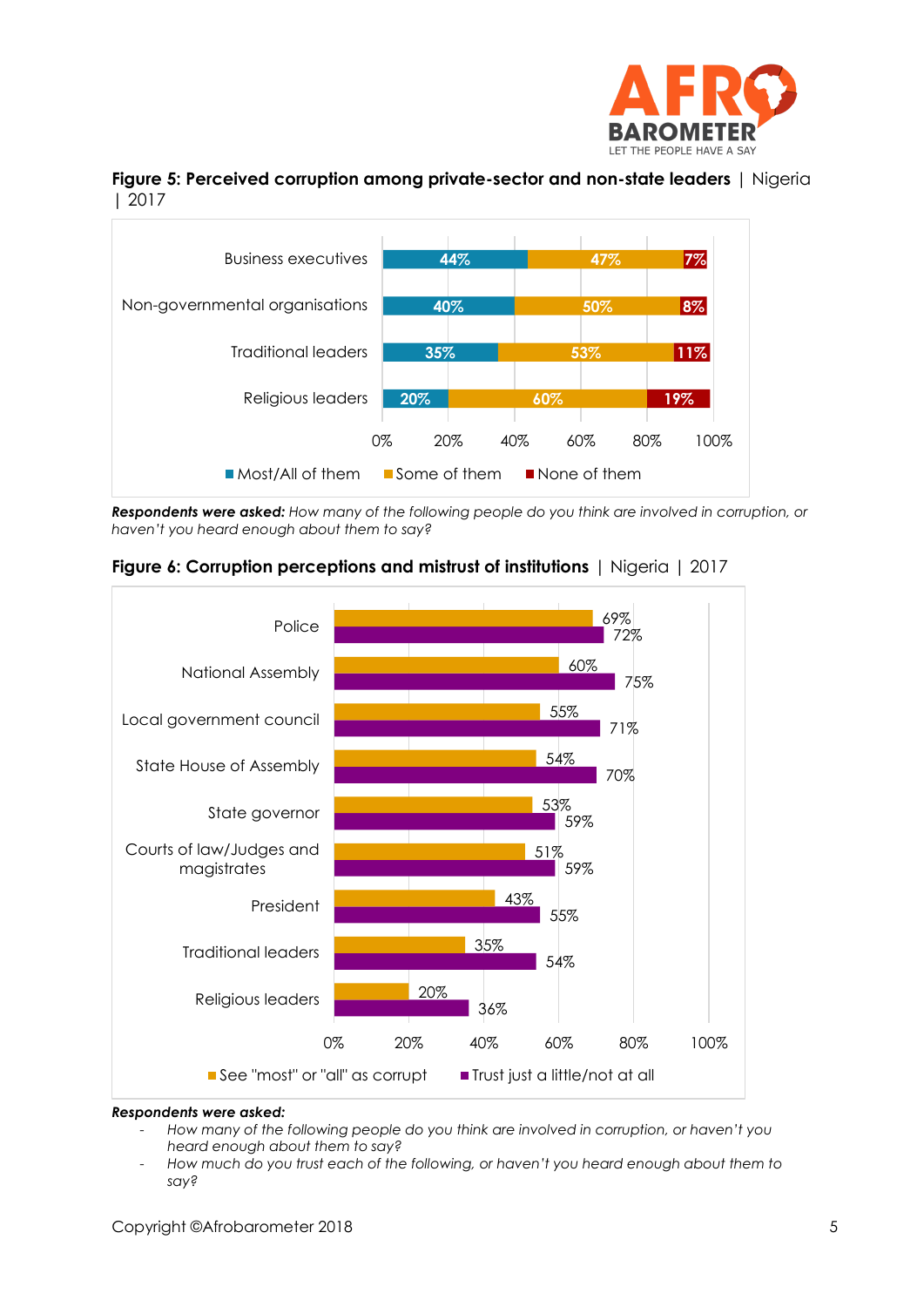





*Respondents were asked: How many of the following people do you think are involved in corruption, or haven't you heard enough about them to say?*



**Figure 6: Corruption perceptions and mistrust of institutions** | Nigeria | 2017

#### *Respondents were asked:*

- *How many of the following people do you think are involved in corruption, or haven't you heard enough about them to say?*
- *How much do you trust each of the following, or haven't you heard enough about them to say?*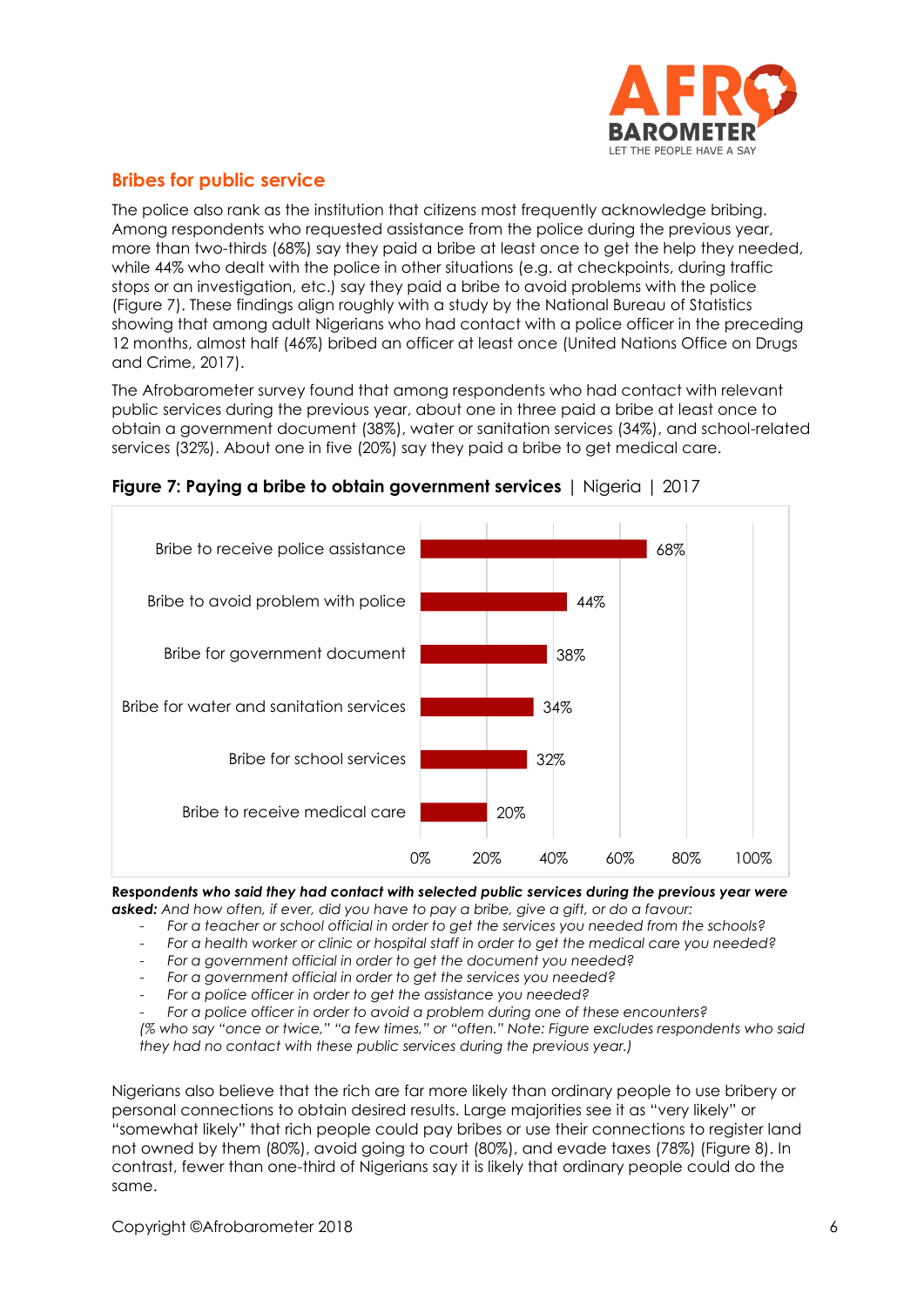

# **Bribes for public service**

The police also rank as the institution that citizens most frequently acknowledge bribing. Among respondents who requested assistance from the police during the previous year, more than two-thirds (68%) say they paid a bribe at least once to get the help they needed, while 44% who dealt with the police in other situations (e.g. at checkpoints, during traffic stops or an investigation, etc.) say they paid a bribe to avoid problems with the police (Figure 7). These findings align roughly with a [study](https://drive.google.com/open?id=0B6jj-ulM0cLrOXFpMDh1Q1l1bm8) by the National Bureau of Statistics showing that among adult Nigerians who had contact with a police officer in the preceding 12 months, almost half (46%) bribed an officer at least once (United Nations Office on Drugs and Crime, 2017).

The Afrobarometer survey found that among respondents who had contact with relevant public services during the previous year, about one in three paid a bribe at least once to obtain a government document (38%), water or sanitation services (34%), and school-related services (32%). About one in five (20%) say they paid a bribe to get medical care.



**Figure 7: Paying a bribe to obtain government services** | Nigeria | 2017

**Resp***ondents who said they had contact with selected public services during the previous year were asked: And how often, if ever, did you have to pay a bribe, give a gift, or do a favour:*

- *For a teacher or school official in order to get the services you needed from the schools?*

- *For a health worker or clinic or hospital staff in order to get the medical care you needed?*

- *For a government official in order to get the document you needed?*
- *For a government official in order to get the services you needed?*
- *For a police officer in order to get the assistance you needed?*

- *For a police officer in order to avoid a problem during one of these encounters?*

*(% who say "once or twice," "a few times," or "often." Note: Figure excludes respondents who said they had no contact with these public services during the previous year.)*

Nigerians also believe that the rich are far more likely than ordinary people to use bribery or personal connections to obtain desired results. Large majorities see it as "very likely" or "somewhat likely" that rich people could pay bribes or use their connections to register land not owned by them (80%), avoid going to court (80%), and evade taxes (78%) (Figure 8). In contrast, fewer than one-third of Nigerians say it is likely that ordinary people could do the same.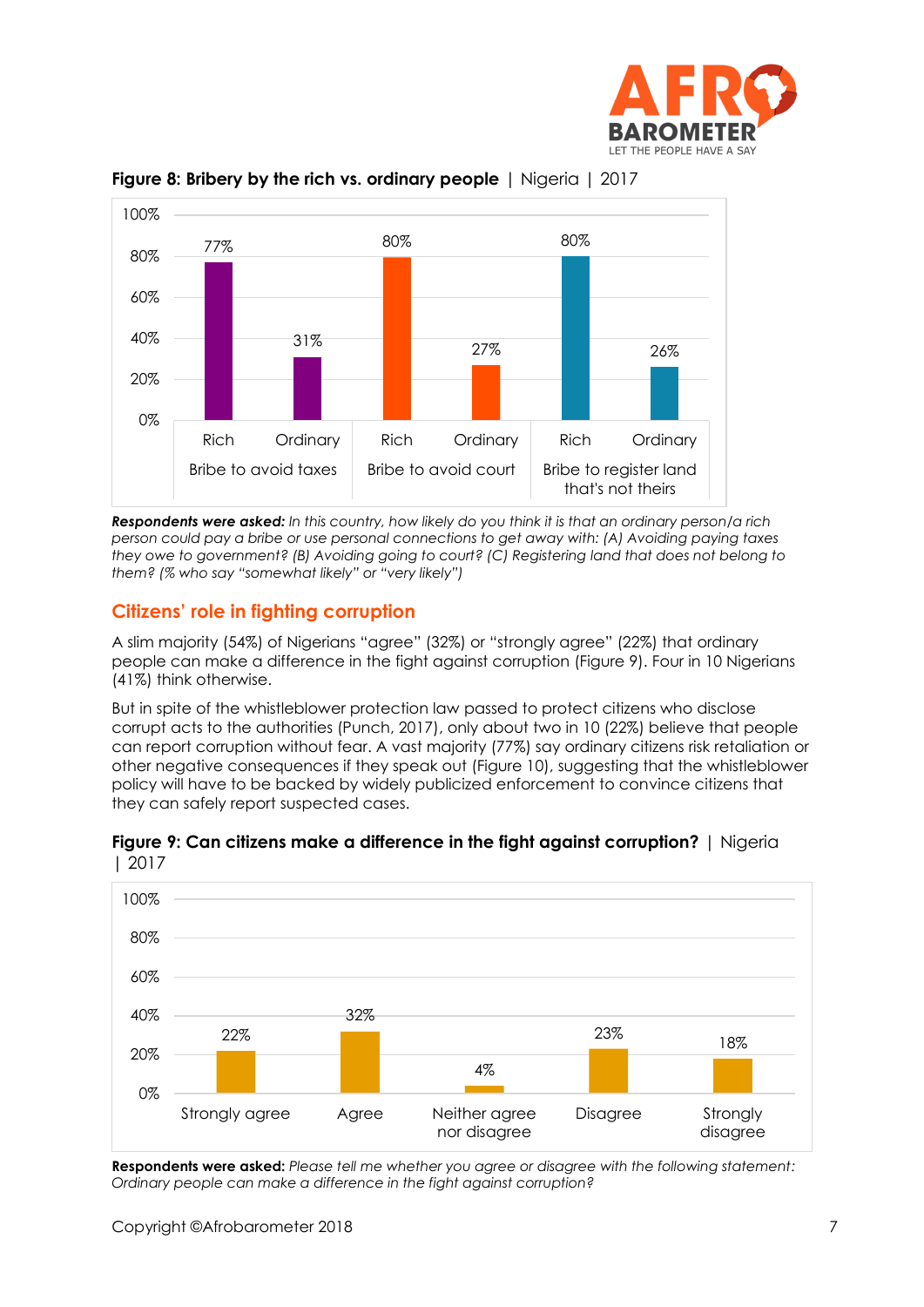



**Figure 8: Bribery by the rich vs. ordinary people** | Nigeria | 2017

*Respondents were asked: In this country, how likely do you think it is that an ordinary person/a rich person could pay a bribe or use personal connections to get away with: (A) Avoiding paying taxes they owe to government? (B) Avoiding going to court? (C) Registering land that does not belong to them? (% who say "somewhat likely" or "very likely")*

# **Citizens' role in fighting corruption**

A slim majority (54%) of Nigerians "agree" (32%) or "strongly agree" (22%) that ordinary people can make a difference in the fight against corruption (Figure 9). Four in 10 Nigerians (41%) think otherwise.

But in spite of the [whistleblower protection law](http://punchng.com/senate-passes-whistleblower-protection-bill-into-law/) passed to protect citizens who disclose corrupt acts to the authorities (Punch, 2017), only about two in 10 (22%) believe that people can report corruption without fear. A vast majority (77%) say ordinary citizens risk retaliation or other negative consequences if they speak out (Figure 10), suggesting that the whistleblower policy will have to be backed by widely publicized enforcement to convince citizens that they can safely report suspected cases.



**Figure 9: Can citizens make a difference in the fight against corruption?** | Nigeria | 2017

**Respondents were asked:** *Please tell me whether you agree or disagree with the following statement: Ordinary people can make a difference in the fight against corruption?*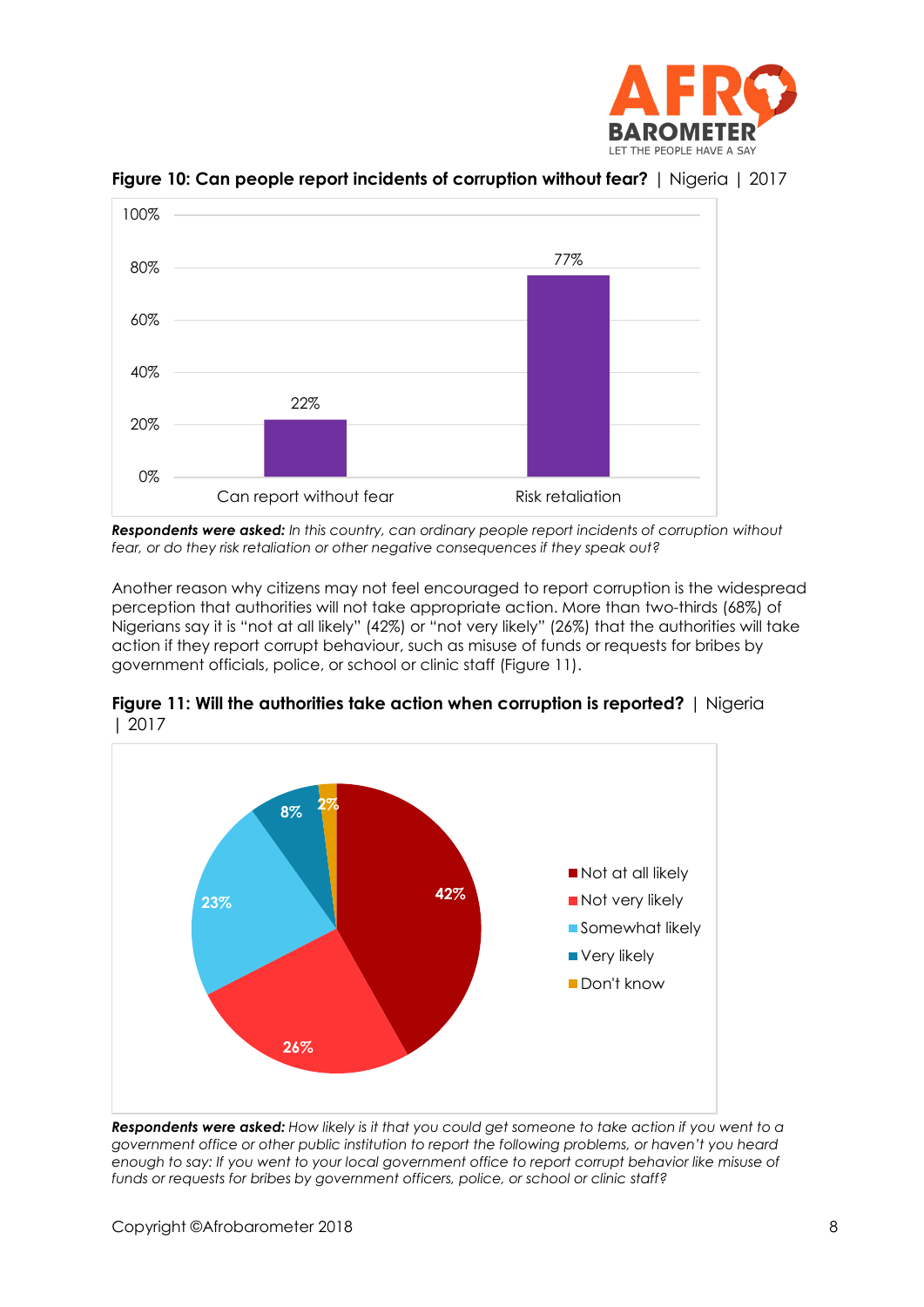



**Figure 10: Can people report incidents of corruption without fear?** | Nigeria | 2017

*Respondents were asked: In this country, can ordinary people report incidents of corruption without fear, or do they risk retaliation or other negative consequences if they speak out?*

Another reason why citizens may not feel encouraged to report corruption is the widespread perception that authorities will not take appropriate action. More than two-thirds (68%) of Nigerians say it is "not at all likely" (42%) or "not very likely" (26%) that the authorities will take action if they report corrupt behaviour, such as misuse of funds or requests for bribes by government officials, police, or school or clinic staff (Figure 11).



**Figure 11: Will the authorities take action when corruption is reported?** | Nigeria | 2017

*Respondents were asked: How likely is it that you could get someone to take action if you went to a government office or other public institution to report the following problems, or haven't you heard enough to say: If you went to your local government office to report corrupt behavior like misuse of funds or requests for bribes by government officers, police, or school or clinic staff?*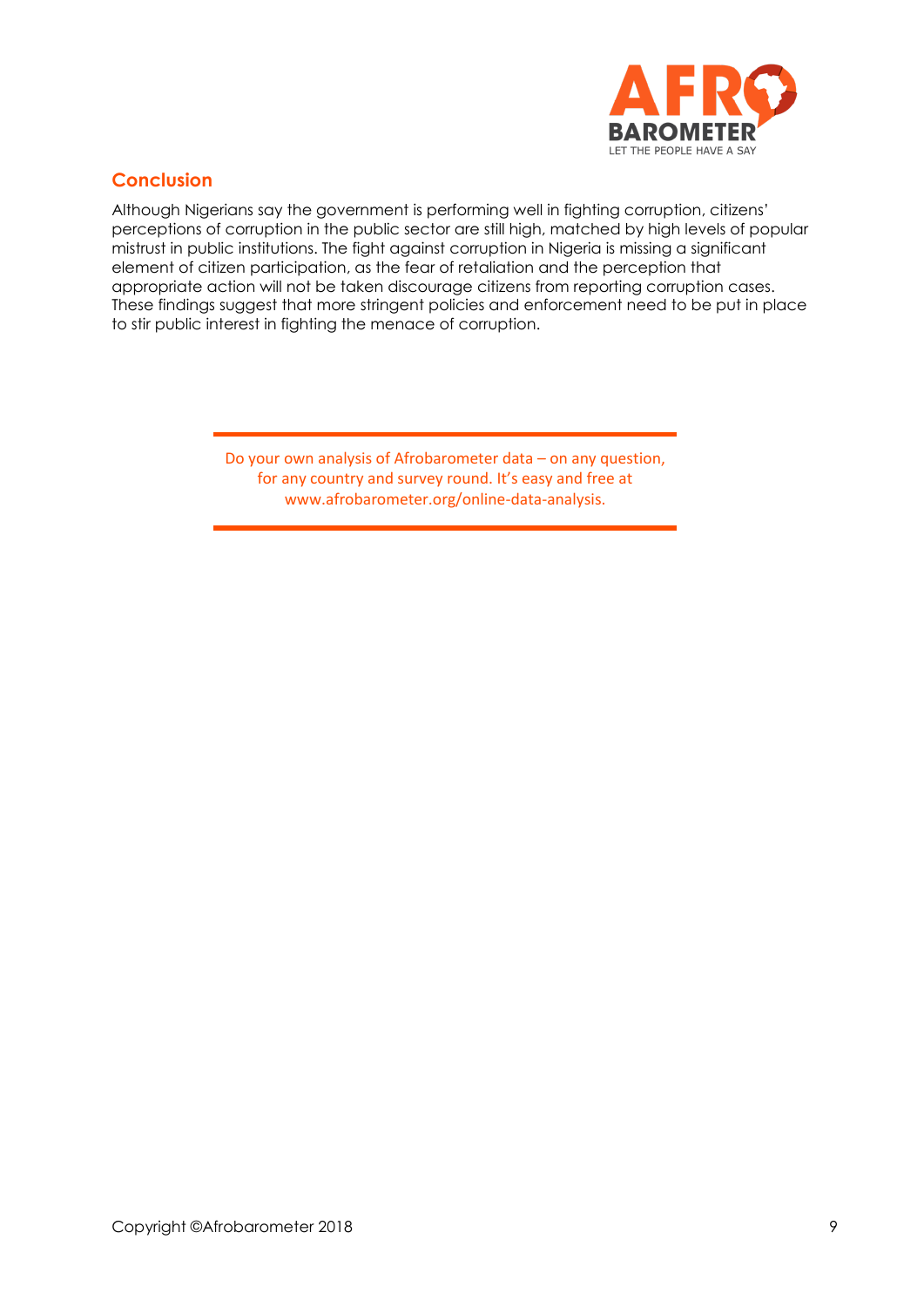

# **Conclusion**

Although Nigerians say the government is performing well in fighting corruption, citizens' perceptions of corruption in the public sector are still high, matched by high levels of popular mistrust in public institutions. The fight against corruption in Nigeria is missing a significant element of citizen participation, as the fear of retaliation and the perception that appropriate action will not be taken discourage citizens from reporting corruption cases. These findings suggest that more stringent policies and enforcement need to be put in place to stir public interest in fighting the menace of corruption.

> Do your own analysis of Afrobarometer data – on any question, for any country and survey round. It's easy and free at www.afrobarometer.org/online-data-analysis.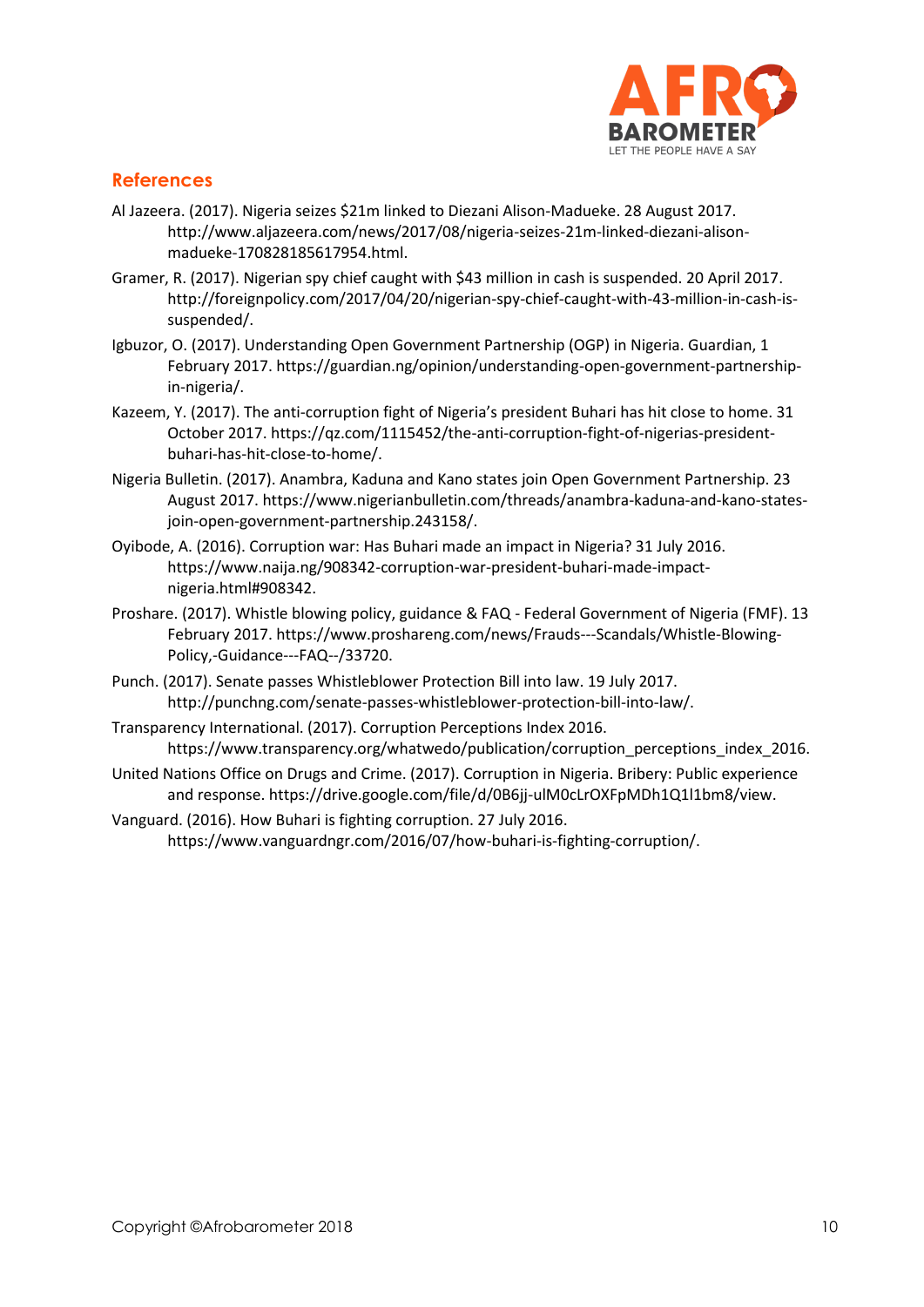

### **References**

- Al Jazeera. (2017). Nigeria seizes \$21m linked to Diezani Alison-Madueke. 28 August 2017. http://www.aljazeera.com/news/2017/08/nigeria-seizes-21m-linked-diezani-alisonmadueke-170828185617954.html.
- Gramer, R. (2017). Nigerian spy chief caught with \$43 million in cash is suspended. 20 April 2017. http://foreignpolicy.com/2017/04/20/nigerian-spy-chief-caught-with-43-million-in-cash-issuspended/.
- Igbuzor, O. (2017). Understanding Open Government Partnership (OGP) in Nigeria. Guardian, 1 February 2017. https://guardian.ng/opinion/understanding-open-government-partnershipin-nigeria/.
- Kazeem, Y. (2017). The anti-corruption fight of Nigeria's president Buhari has hit close to home. 31 October 2017. https://qz.com/1115452/the-anti-corruption-fight-of-nigerias-presidentbuhari-has-hit-close-to-home/.
- Nigeria Bulletin. (2017). Anambra, Kaduna and Kano states join Open Government Partnership. 23 August 2017. https://www.nigerianbulletin.com/threads/anambra-kaduna-and-kano-statesjoin-open-government-partnership.243158/.
- Oyibode, A. (2016). Corruption war: Has Buhari made an impact in Nigeria? 31 July 2016. https://www.naija.ng/908342-corruption-war-president-buhari-made-impactnigeria.html#908342.
- Proshare. (2017). Whistle blowing policy, guidance & FAQ Federal Government of Nigeria (FMF). 13 February 2017. https://www.proshareng.com/news/Frauds---Scandals/Whistle-Blowing-Policy,-Guidance---FAQ--/33720.
- Punch. (2017). Senate passes Whistleblower Protection Bill into law. 19 July 2017. http://punchng.com/senate-passes-whistleblower-protection-bill-into-law/.
- Transparency International. (2017). Corruption Perceptions Index 2016. https://www.transparency.org/whatwedo/publication/corruption\_perceptions\_index\_2016.
- United Nations Office on Drugs and Crime. (2017). Corruption in Nigeria. Bribery: Public experience and response. https://drive.google.com/file/d/0B6jj-ulM0cLrOXFpMDh1Q1l1bm8/view.
- Vanguard. (2016). How Buhari is fighting corruption. 27 July 2016. https://www.vanguardngr.com/2016/07/how-buhari-is-fighting-corruption/.